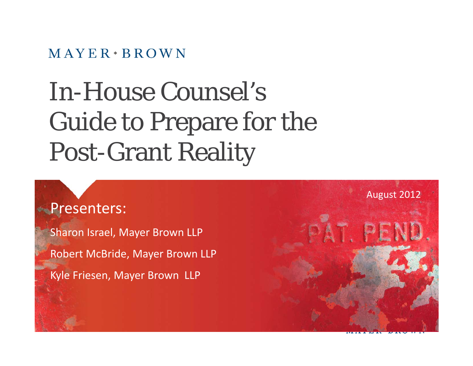#### $MAYER \cdot BROWN$

# In-House Counsel's Guide to Prepare for the e to Prepare for the Post-Grant Reality

#### Presenters :

Sharon Israel, Mayer Brown LLP Robert McBride, Mayer Brown LLP Kyle Friesen, Mayer Brown LLP

logo are the trademarks of the Mayer Brown Practices in their respective jurisdictions.

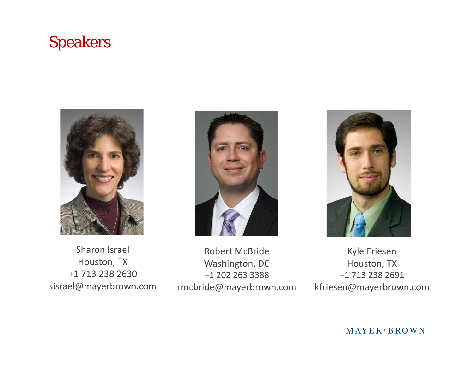### Speakers



**Sharon Israel** Houston, TX +1 713 238 2630 sisrael@mayerbrown.com



n Israel **Robert McBride** Washington, DC +1 202 263 3388 rmcbride@mayerbrown.com



 Kyle Friesen Houston, TX +1 713 238 2691 kfriesen@mayerbrown.com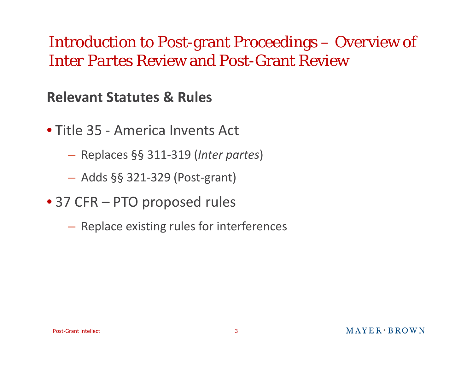### Introduction to Post-grant Proceedings – Overview of *InterPartes* Review and Post-Grant Review

#### **Relevant Statutes& Rules**

- Title 35 ‐ America Invents Act
	- Re places §§ 311 ‐319 (*Inter partes*)
	- Adds §§ 321 ‐329 (Post ‐grant)
- 37 CFR PTO proposed rules
	- $-$  Replace existing rules for interferences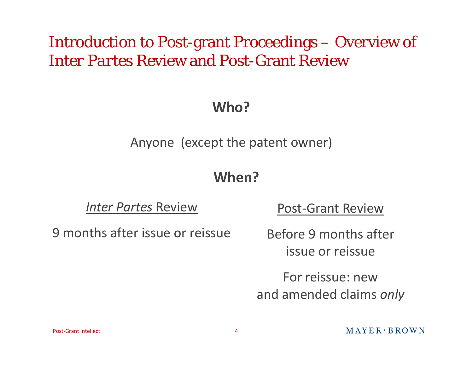### Introduction to Post-grant Proceedings – Overview of *InterPartes* Review and Post-Grant Review

#### **Who?**

Anyone (except the patent owner)

#### **When?**

*Inter Partes* Review

9 months after issue or reissue

<u>w</u> Post-Grant Review

Before 9 months after issue or reissue

For reissue: newand amended claims *only*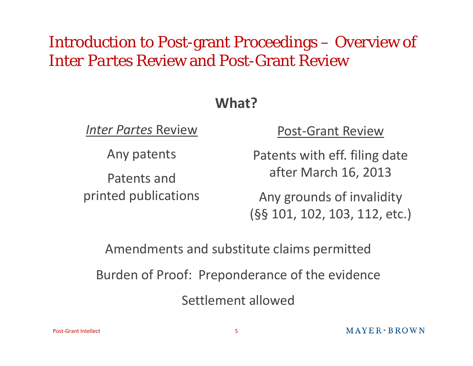### Introduction to Post-grant Proceedings – Overview of *InterPartes* Review and Post-Grant Review

#### **What?**

*Inter Partes* Review

An y patents

Patents andprinted publications

#### Post ‐Grant Review

Patents with eff. filing date after March 16, 2013

Any grounds of invalidity (§§ 101, 102, 103, 112, etc.)

Amendments and substitute claims permitted Burden of Proof: Preponderance of the evidence

Settlement allowed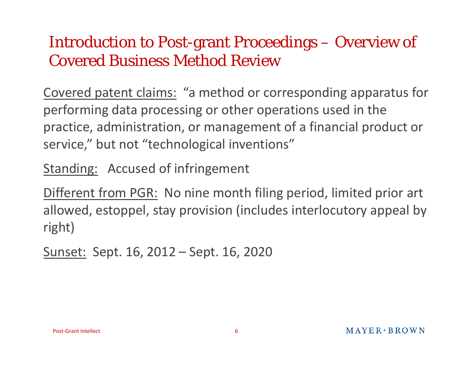### Introduction to Post-grant Proceedings – Overview of Covered Business Method Review

Covered patent claims: "a method or corresponding apparatus for performing data processing or other operations used in the practice, administration, or management of a financial product or service," but not "technological inventions"

Standing: Accused of infringement

Different from PGR: No nine month filing period, limited prior art allowed, estoppel, stay provision (includes interlocutory appeal by right)

Sunset: Sept. 16, 2012 – Sept. 16, 2020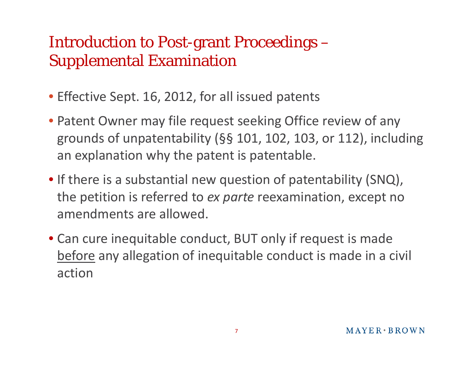## Introduction to Post-grant Proceedings – Supplemental Examination

- Effective Sept. 16, 2012, for all issued patents
- Patent Owner may file request seeking Office review of any grounds of unpatentability (§§ 101, 102, 103, or 112), including an explanation why the patent is patentable.
- If there is a substantial new question of patentability (SNQ), the petition is referred to *ex parte* reexamination, except no amendments are allowed.
- Can cure inequitable conduct, BUT only if request is made <u>before</u> any allegation of inequitable conduct is made in a civil action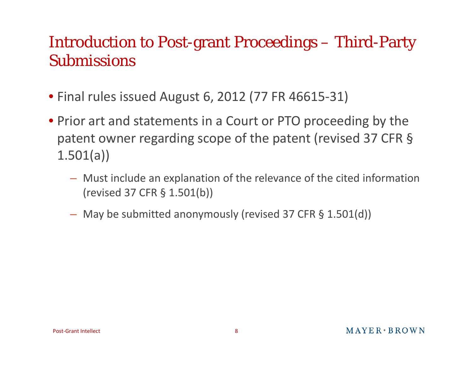### Introduction to Post-grant Proceedings – Third-Party Submissions

- Final rules issued August 6, 2012 (77 FR 46615 ‐31)
- Prior art and statements in a Court or PTO proceeding by the patent owner regarding scope of the patent (revised 37 CFR § 1.501(a))
	- Must include an explanation of the relevance of the cited information (revised 37 CFR § 1.501(b))
	- May be submitted anonymously (revised 37 CFR § 1.501(d))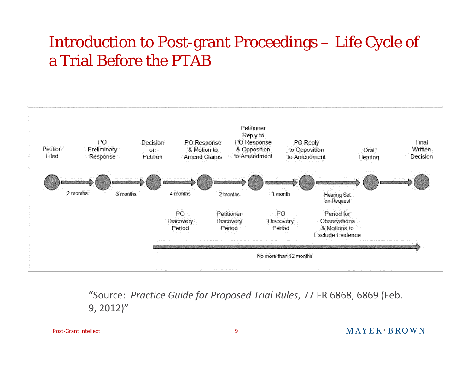## Introduction to Post-grant Proceedings – Life Cycle of a Trial Before the PTAB



"Source: Practice Guide for Proposed Trial Rules, 77 FR 6868, 6869 (Feb. 9, 2012)"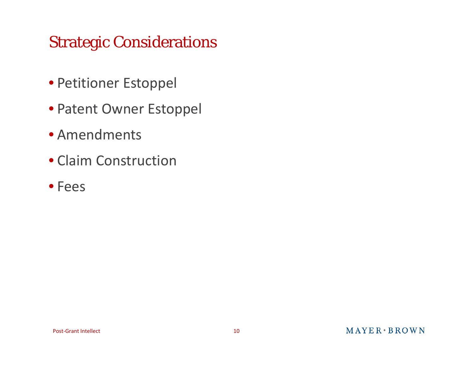## Strategic Considerations

- Petitioner Estoppel
- Patent Owner Estoppel
- Amendments
- Claim Construction
- Fees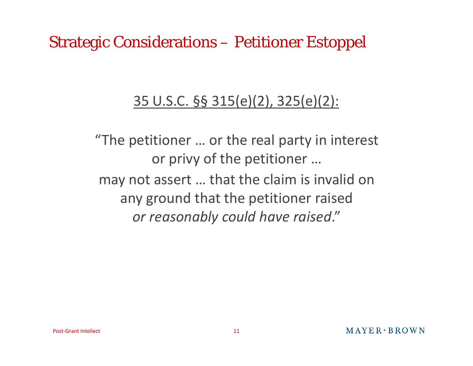### Strategic Considerations – Petitioner Estoppel

#### 35 U.S.C. §§ 315(e)(2), 325(e)(2):

"The petitioner … or the real party in interest or privy of the petitioner … may not assert … that the claim is invalid on any ground that the petitioner raised *or reasonably could have raised*."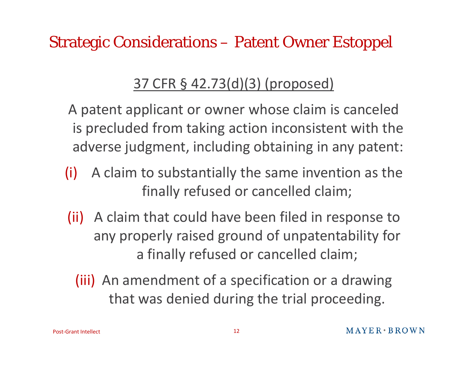Strategic Considerations – Patent Owner Estoppel

### 37 CFR § 42.73(d)(3) (proposed)

A patent applicant or owner whose claim is canceled is precluded from taking action inconsistent with the adverse judgment, including obtaining in any patent:

- (i) A claim to substantially the same invention as the finally refused or cancelled claim;
- (ii) A claim that could have been filed in response to any properly raised ground of unpatentability for a finally refused or cancelled claim;
	- (iii) An amendment of a specification or a drawing that was denied during the trial proceeding.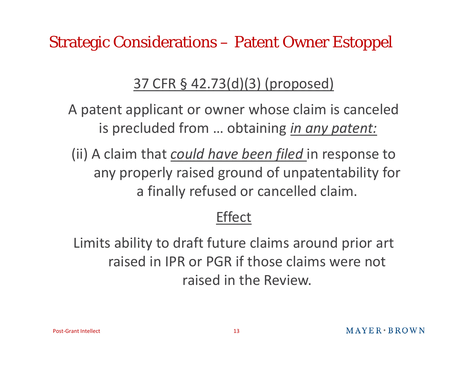Strategic Considerations – Patent Owner Estoppel

### 37 CFR § 42.73(d)(3) (proposed)

A patent applicant or owner whose claim is canceled is precluded from … obtaining *in any patent:*

(ii) A claim that *could have been filed* in response to any properly raised ground of unpatentability for a finally refused or cancelled claim.

### Effect

Limits ability to draft future claims around prior art raised in IPR or PGR if those claims were not raised in the Review.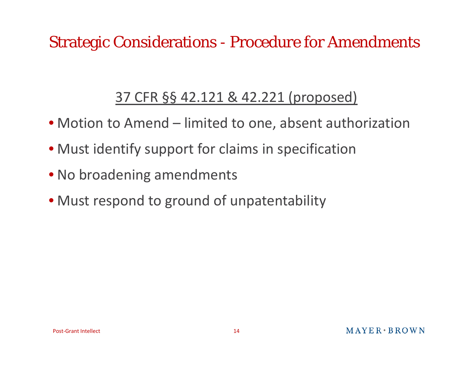### Strategic Considerations - Procedure for Amendments

### 37 CFR §§ 42.121 & 42.221 (proposed)

- Motion to Amend limited to one, absent authorization
- Must identify support for claims in specification
- No broadening amendments
- Must respond to ground of unpatentability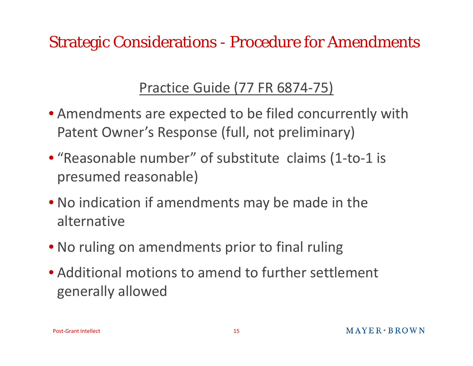Strategic Considerations - Procedure for Amendments

### Practice Guide (77 FR 6874 ‐75)

- Amendments are expected to be filed concurrently with Patent Owner's Response (full, not preliminary)
- "Reasonable number" of substitute claims (1-to-1 is presumed reasonable)
- No indication if amendments may be made in the alternative
- No ruling on amendments prior to final ruling
- Additional motions to amend to further settlement generally allowed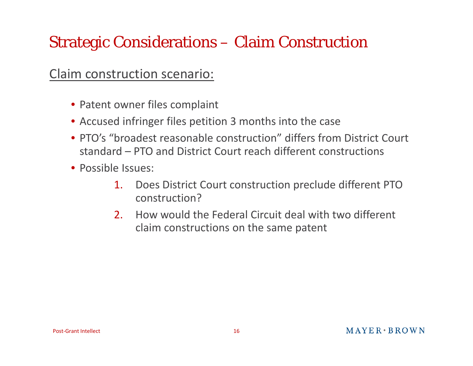## Strategic Considerations – Claim Construction

#### Claim construction scenario:

- Patent owner files complaint
- Accused infringer files petition 3 months into the case
- PTO's "broadest reasonable construction" differs from District Court standard – PTO and District Court reach different constructions
- Possible Issues:
	- 1. Does District Court construction preclude different PTO construction?
	- 2. How would the Federal Circuit deal with two different claim constructions on the same patent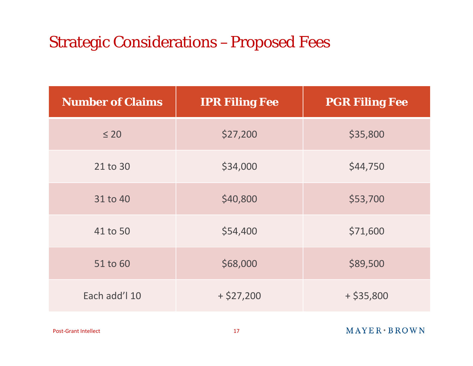### Strategic Considerations –Proposed Fees

| <b>Number of Claims</b> | <b>IPR Filing Fee</b> | <b>PGR Filing Fee</b> |
|-------------------------|-----------------------|-----------------------|
| $\leq 20$               | \$27,200              | \$35,800              |
| 21 to 30                | \$34,000              | \$44,750              |
| 31 to 40                | \$40,800              | \$53,700              |
| 41 to 50                | \$54,400              | \$71,600              |
| 51 to 60                | \$68,000              | \$89,500              |
| Each add'l 10           | $+$ \$27,200          | $+$ \$35,800          |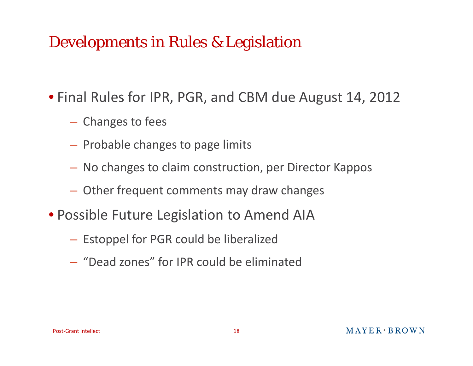### Developments in Rules & Legislation

• Final Rules for IPR, PGR, and CBM due August 14, 2012

- **Holland** Construction - Changes to fees
- $-$  Probable changes to page limits
- No changes to claim construction, per Director Kappos
- Other frequent comments may draw changes
- Possible Future Legislation to Amend AIA
	- $-$  Estoppel for PGR could be liberalized
	- "Dead zones" for IPR could be eliminated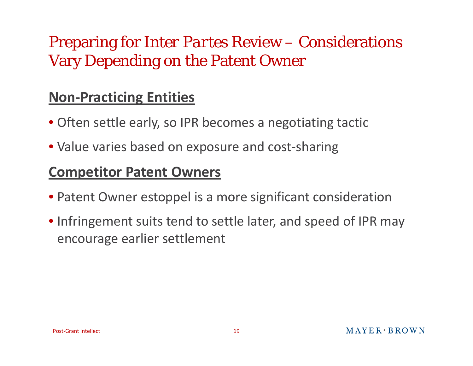## Preparing for *Inter Partes* Review – Considerations Vary Depending on the Patent Owner

### **Non‐Practicing Entities**

- Often settle early, so IPR becomes <sup>a</sup> negotiating tactic
- Value varies based on exposure and cost‐sharing

#### **Competitor Patent Owners**

- Patent Owner estoppel is <sup>a</sup> more significant consideration
- Infringement suits tend to settle later, and speed of IPR may encourage earlier settlement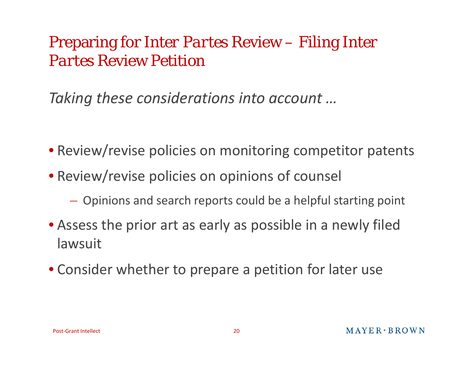### Preparing for *Inter Partes* Review – Filing *Inter Partes* Review Petition

*Taking these considerations into account …*

- Review/revise policies on monitoring competitor patents
- Review/revise policies on opinions of counsel
	- **Holland** Construction Opinions and search reports could be <sup>a</sup> helpful starting point
- Assess the prior art as early as possible in <sup>a</sup> newly filed lawsuit
- Consider whether to prepare <sup>a</sup> petition for later use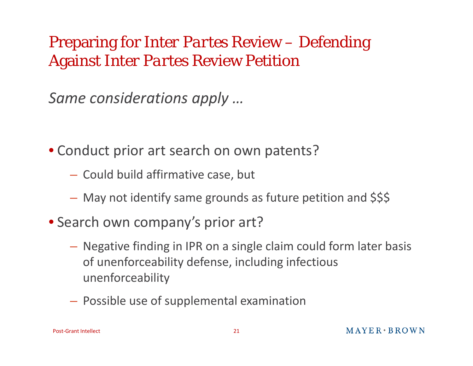## Preparing for *Inter Partes* Review – Defending Against *Inter Partes* Review Petition

*Same considerations apply …*

• Conduct prior art search on own patents?

- $-$  Could build affirmative case, but
- $-$  May not identify same grounds as future petition and \$\$\$
- Search own company's prior art?
	- Negative finding in IPR on <sup>a</sup> single claim could form later basis of unenforceability defense, including infectious unenforceability
	- **Holland** Construction  $-$  Possible use of supplemental examination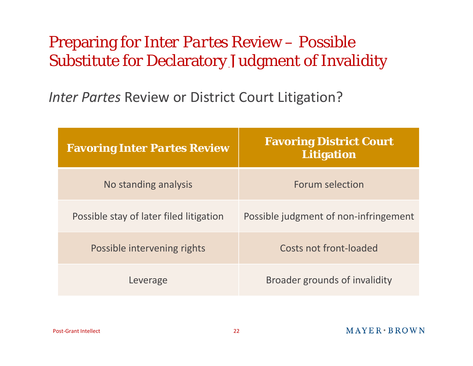### Preparing for *Inter Partes* Review – Possible Substitute for Declaratory Judgment of Invalidity

*Inter Partes* Review or District Court Litigation?

| <b>Favoring Inter Partes Review</b>     | <b>Favoring District Court</b><br><b>Litigation</b> |  |
|-----------------------------------------|-----------------------------------------------------|--|
| No standing analysis                    | Forum selection                                     |  |
| Possible stay of later filed litigation | Possible judgment of non-infringement               |  |
| Possible intervening rights             | Costs not front-loaded                              |  |
| Leverage                                | Broader grounds of invalidity                       |  |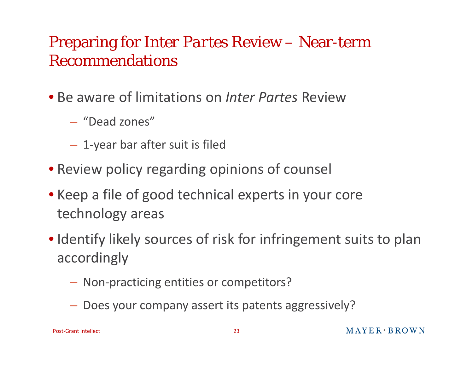### Preparing for *Inter Partes* Review – Near-term Recommendations

- Be aware of limitations on *Inter Partes* Review
	- "Dead zones"
	- $-$  1-year bar after suit is filed
- Review policy regarding opinions of counsel
- Keep <sup>a</sup> file of good technical experts in your core technology areas
- Identify likely sources of risk for infringement suits to plan accordingly
	- Non‐practicing entities or competitors?
	- Does your company assert its patents aggressively?